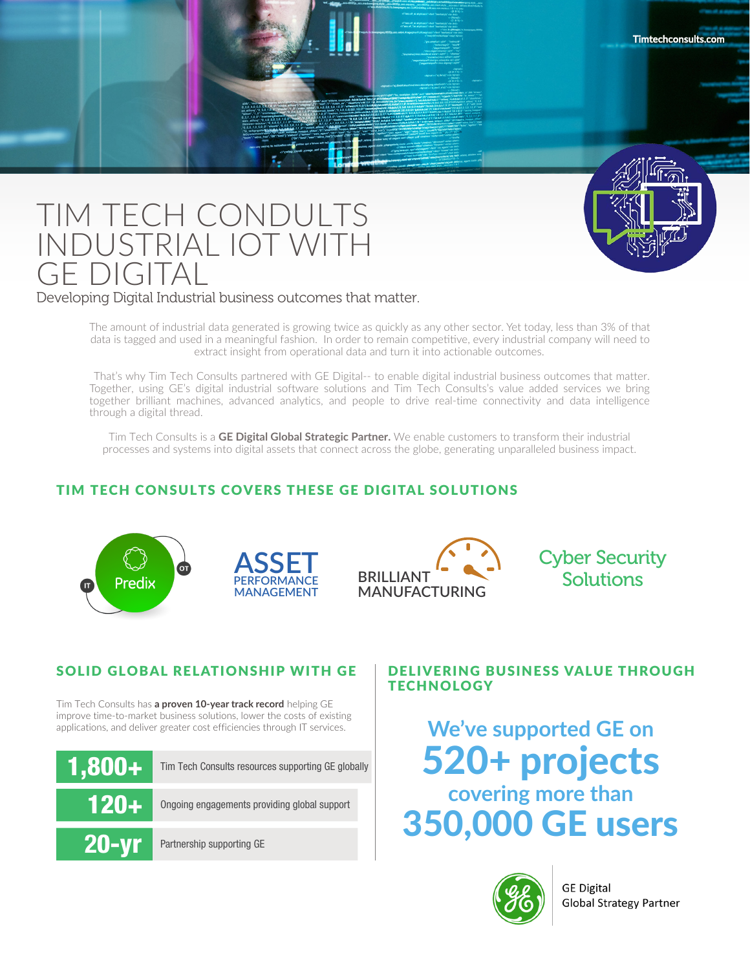

# TIM TECH CONDULTS INDUSTRIAL IOT WITH GE DIGITAL

## Developing Digital Industrial business outcomes that matter.

The amount of industrial data generated is growing twice as quickly as any other sector. Yet today, less than 3% of that data is tagged and used in a meaningful fashion. In order to remain competitive, every industrial company will need to extract insight from operational data and turn it into actionable outcomes.

That's why Tim Tech Consults partnered with GE Digital-- to enable digital industrial business outcomes that matter. Together, using GE's digital industrial software solutions and Tim Tech Consults's value added services we bring together brilliant machines, advanced analytics, and people to drive real-time connectivity and data intelligence through a digital thread.

Tim Tech Consults is a **GE Digital Global Strategic Partner.** We enable customers to transform their industrial processes and systems into digital assets that connect across the globe, generating unparalleled business impact.

# TIM TECH CONSULTS COVERS THESE GE DIGITAL SOLUTIONS







Cyber Security **Solutions** 

**Timtechconsults.com**

# SOLID GLOBAL RELATIONSHIP WITH GE

Tim Tech Consults has **a proven 10-year track record** helping GE improve time-to-market business solutions, lower the costs of existing applications, and deliver greater cost efficiencies through IT services.



# DELIVERING BUSINESS VALUE THROUGH **TECHNOLOGY**

**We've supported GE on** 520+ projects **covering more than** 350,000 GE users